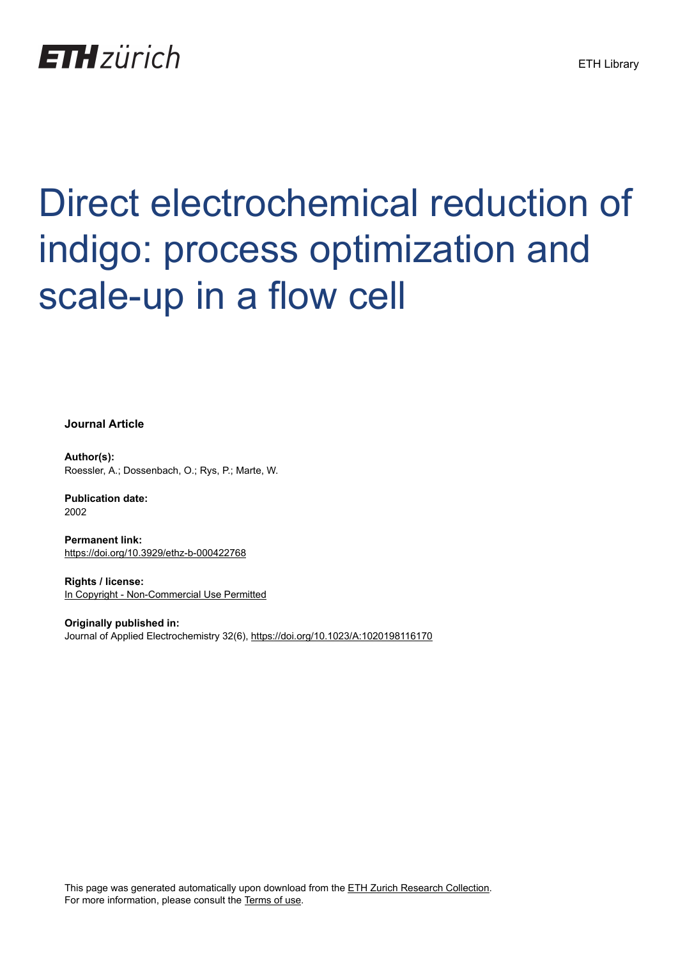

# Direct electrochemical reduction of indigo: process optimization and scale-up in a flow cell

**Journal Article**

**Author(s):** Roessler, A.; Dossenbach, O.; Rys, P.; Marte, W.

**Publication date:** 2002

**Permanent link:** <https://doi.org/10.3929/ethz-b-000422768>

**Rights / license:** [In Copyright - Non-Commercial Use Permitted](http://rightsstatements.org/page/InC-NC/1.0/)

**Originally published in:** Journal of Applied Electrochemistry 32(6),<https://doi.org/10.1023/A:1020198116170>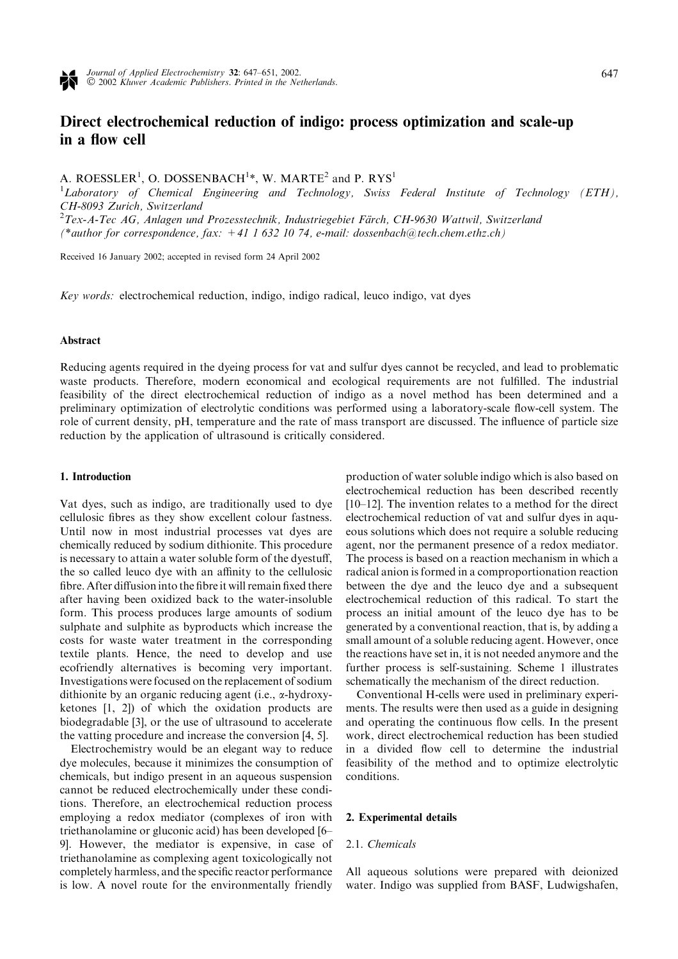

# Direct electrochemical reduction of indigo: process optimization and scale-up in a flow cell

A. ROESSLER<sup>1</sup>, O. DOSSENBACH<sup>1\*</sup>, W. MARTE<sup>2</sup> and P. RYS<sup>1</sup>

<sup>1</sup>Laboratory of Chemical Engineering and Technology, Swiss Federal Institute of Technology (ETH), CH-8093 Zurich, Switzerland

 $^{2}$ Tex-A-Tec AG, Anlagen und Prozesstechnik, Industriegebiet Färch, CH-9630 Wattwil, Switzerland (\*author for correspondence, fax:  $+41$  1 632 10 74, e-mail: dossenbach@tech.chem.ethz.ch)

Received 16 January 2002; accepted in revised form 24 April 2002

Key words: electrochemical reduction, indigo, indigo radical, leuco indigo, vat dyes

## Abstract

Reducing agents required in the dyeing process for vat and sulfur dyes cannot be recycled, and lead to problematic waste products. Therefore, modern economical and ecological requirements are not fulfilled. The industrial feasibility of the direct electrochemical reduction of indigo as a novel method has been determined and a preliminary optimization of electrolytic conditions was performed using a laboratory-scale flow-cell system. The role of current density, pH, temperature and the rate of mass transport are discussed. The influence of particle size reduction by the application of ultrasound is critically considered.

#### 1. Introduction

Vat dyes, such as indigo, are traditionally used to dye cellulosic fibres as they show excellent colour fastness. Until now in most industrial processes vat dyes are chemically reduced by sodium dithionite. This procedure is necessary to attain a water soluble form of the dyestuff, the so called leuco dye with an affinity to the cellulosic fibre. After diffusion into the fibre it will remain fixed there after having been oxidized back to the water-insoluble form. This process produces large amounts of sodium sulphate and sulphite as byproducts which increase the costs for waste water treatment in the corresponding textile plants. Hence, the need to develop and use ecofriendly alternatives is becoming very important. Investigations were focused on the replacement of sodium dithionite by an organic reducing agent (i.e., a-hydroxyketones [1, 2]) of which the oxidation products are biodegradable [3], or the use of ultrasound to accelerate the vatting procedure and increase the conversion [4, 5].

Electrochemistry would be an elegant way to reduce dye molecules, because it minimizes the consumption of chemicals, but indigo present in an aqueous suspension cannot be reduced electrochemically under these conditions. Therefore, an electrochemical reduction process employing a redox mediator (complexes of iron with triethanolamine or gluconic acid) has been developed [6– 9]. However, the mediator is expensive, in case of triethanolamine as complexing agent toxicologically not completely harmless, and the specific reactor performance is low. A novel route for the environmentally friendly

production of water soluble indigo which is also based on electrochemical reduction has been described recently [10–12]. The invention relates to a method for the direct electrochemical reduction of vat and sulfur dyes in aqueous solutions which does not require a soluble reducing agent, nor the permanent presence of a redox mediator. The process is based on a reaction mechanism in which a radical anion is formed in a comproportionation reaction between the dye and the leuco dye and a subsequent electrochemical reduction of this radical. To start the process an initial amount of the leuco dye has to be generated by a conventional reaction, that is, by adding a small amount of a soluble reducing agent. However, once the reactions have set in, it is not needed anymore and the further process is self-sustaining. Scheme 1 illustrates schematically the mechanism of the direct reduction.

Conventional H-cells were used in preliminary experiments. The results were then used as a guide in designing and operating the continuous flow cells. In the present work, direct electrochemical reduction has been studied in a divided flow cell to determine the industrial feasibility of the method and to optimize electrolytic conditions.

### 2. Experimental details

#### 2.1. Chemicals

All aqueous solutions were prepared with deionized water. Indigo was supplied from BASF, Ludwigshafen,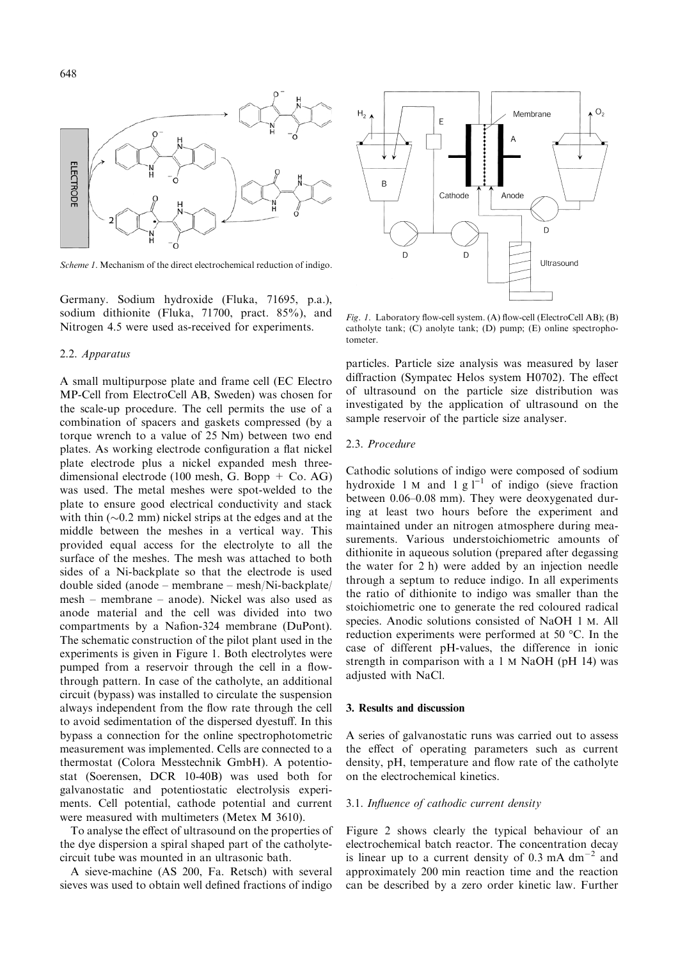

Scheme 1. Mechanism of the direct electrochemical reduction of indigo.

Germany. Sodium hydroxide (Fluka, 71695, p.a.), sodium dithionite (Fluka, 71700, pract. 85%), and Nitrogen 4.5 were used as-received for experiments.

# 2.2. Apparatus

A small multipurpose plate and frame cell (EC Electro MP-Cell from ElectroCell AB, Sweden) was chosen for the scale-up procedure. The cell permits the use of a combination of spacers and gaskets compressed (by a torque wrench to a value of 25 Nm) between two end plates. As working electrode configuration a flat nickel plate electrode plus a nickel expanded mesh threedimensional electrode (100 mesh, G. Bopp  $+$  Co. AG) was used. The metal meshes were spot-welded to the plate to ensure good electrical conductivity and stack with thin  $(\sim 0.2 \text{ mm})$  nickel strips at the edges and at the middle between the meshes in a vertical way. This provided equal access for the electrolyte to all the surface of the meshes. The mesh was attached to both sides of a Ni-backplate so that the electrode is used double sided (anode – membrane – mesh/Ni-backplate/ mesh – membrane – anode). Nickel was also used as anode material and the cell was divided into two compartments by a Nafion-324 membrane (DuPont). The schematic construction of the pilot plant used in the experiments is given in Figure 1. Both electrolytes were pumped from a reservoir through the cell in a flowthrough pattern. In case of the catholyte, an additional circuit (bypass) was installed to circulate the suspension always independent from the flow rate through the cell to avoid sedimentation of the dispersed dyestuff. In this bypass a connection for the online spectrophotometric measurement was implemented. Cells are connected to a thermostat (Colora Messtechnik GmbH). A potentiostat (Soerensen, DCR 10-40B) was used both for galvanostatic and potentiostatic electrolysis experiments. Cell potential, cathode potential and current were measured with multimeters (Metex M 3610).

To analyse the effect of ultrasound on the properties of the dye dispersion a spiral shaped part of the catholytecircuit tube was mounted in an ultrasonic bath.

A sieve-machine (AS 200, Fa. Retsch) with several sieves was used to obtain well defined fractions of indigo



Fig. 1. Laboratory flow-cell system. (A) flow-cell (ElectroCell AB); (B) catholyte tank; (C) anolyte tank; (D) pump; (E) online spectrophotometer.

particles. Particle size analysis was measured by laser diffraction (Sympatec Helos system H0702). The effect of ultrasound on the particle size distribution was investigated by the application of ultrasound on the sample reservoir of the particle size analyser.

#### 2.3. Procedure

Cathodic solutions of indigo were composed of sodium hydroxide 1 M and 1 g  $l^{-1}$  of indigo (sieve fraction between 0.06–0.08 mm). They were deoxygenated during at least two hours before the experiment and maintained under an nitrogen atmosphere during measurements. Various understoichiometric amounts of dithionite in aqueous solution (prepared after degassing the water for  $2 h$ ) were added by an injection needle through a septum to reduce indigo. In all experiments the ratio of dithionite to indigo was smaller than the stoichiometric one to generate the red coloured radical species. Anodic solutions consisted of NaOH 1 M. All reduction experiments were performed at 50  $^{\circ}$ C. In the case of different pH-values, the difference in ionic strength in comparison with a 1 M NaOH (pH 14) was adjusted with NaCl.

#### 3. Results and discussion

A series of galvanostatic runs was carried out to assess the effect of operating parameters such as current density, pH, temperature and flow rate of the catholyte on the electrochemical kinetics.

# 3.1. Influence of cathodic current density

Figure 2 shows clearly the typical behaviour of an electrochemical batch reactor. The concentration decay is linear up to a current density of  $0.3 \text{ mA dm}^{-2}$  and approximately 200 min reaction time and the reaction can be described by a zero order kinetic law. Further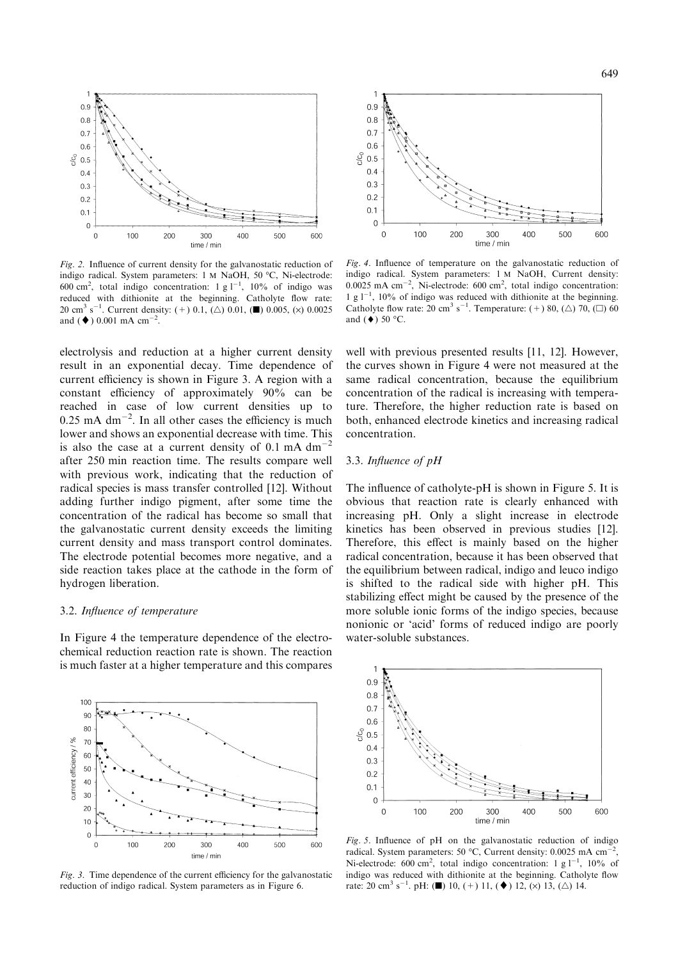

Fig. 2. Influence of current density for the galvanostatic reduction of indigo radical. System parameters: 1 M NaOH, 50 °C, Ni-electrode: 600 cm<sup>2</sup>, total indigo concentration: 1 g  $1^{-1}$ , 10% of indigo was reduced with dithionite at the beginning. Catholyte flow rate: 20 cm<sup>3</sup> s<sup>-1</sup>. Current density: (+) 0.1, ( $\triangle$ ) 0.01, ( $\blacksquare$ ) 0.005, ( $\times$ ) 0.0025 and ( $\blacklozenge$ ) 0.001 mA cm<sup>-2</sup>.

electrolysis and reduction at a higher current density result in an exponential decay. Time dependence of current efficiency is shown in Figure 3. A region with a constant efficiency of approximately 90% can be reached in case of low current densities up to  $0.25$  mA dm<sup>-2</sup>. In all other cases the efficiency is much lower and shows an exponential decrease with time. This is also the case at a current density of 0.1 mA  $dm^{-2}$ after 250 min reaction time. The results compare well with previous work, indicating that the reduction of radical species is mass transfer controlled [12]. Without adding further indigo pigment, after some time the concentration of the radical has become so small that the galvanostatic current density exceeds the limiting current density and mass transport control dominates. The electrode potential becomes more negative, and a side reaction takes place at the cathode in the form of hydrogen liberation.

#### 3.2. Influence of temperature

In Figure 4 the temperature dependence of the electrochemical reduction reaction rate is shown. The reaction is much faster at a higher temperature and this compares



Fig. 3. Time dependence of the current efficiency for the galvanostatic reduction of indigo radical. System parameters as in Figure 6.



Fig. 4. Influence of temperature on the galvanostatic reduction of indigo radical. System parameters: 1 M NaOH, Current density:  $0.0025$  mA cm<sup>-2</sup>, Ni-electrode: 600 cm<sup>2</sup>, total indigo concentration: 1 g  $1^{-1}$ , 10% of indigo was reduced with dithionite at the beginning. Catholyte flow rate: 20 cm<sup>3</sup> s<sup>-1</sup>. Temperature: (+) 80, ( $\triangle$ ) 70, ( $\Box$ ) 60 and  $(\blacklozenge)$  50 °C.

well with previous presented results [11, 12]. However, the curves shown in Figure 4 were not measured at the same radical concentration, because the equilibrium concentration of the radical is increasing with temperature. Therefore, the higher reduction rate is based on both, enhanced electrode kinetics and increasing radical concentration.

# 3.3. Influence of pH

The influence of catholyte-pH is shown in Figure 5. It is obvious that reaction rate is clearly enhanced with increasing pH. Only a slight increase in electrode kinetics has been observed in previous studies [12]. Therefore, this effect is mainly based on the higher radical concentration, because it has been observed that the equilibrium between radical, indigo and leuco indigo is shifted to the radical side with higher pH. This stabilizing effect might be caused by the presence of the more soluble ionic forms of the indigo species, because nonionic or 'acid' forms of reduced indigo are poorly water-soluble substances.



Fig. 5. Influence of pH on the galvanostatic reduction of indigo radical. System parameters: 50 °C, Current density:  $0.0025$  mA cm<sup>-2</sup>, Ni-electrode: 600 cm<sup>2</sup>, total indigo concentration: 1 g  $1^{-1}$ , 10% of indigo was reduced with dithionite at the beginning. Catholyte flow rate: 20 cm<sup>3</sup> s<sup>-1</sup>. pH: (1) 10, (+) 11, ( $\blacklozenge$ ) 12, ( $\times$ ) 13, ( $\triangle$ ) 14.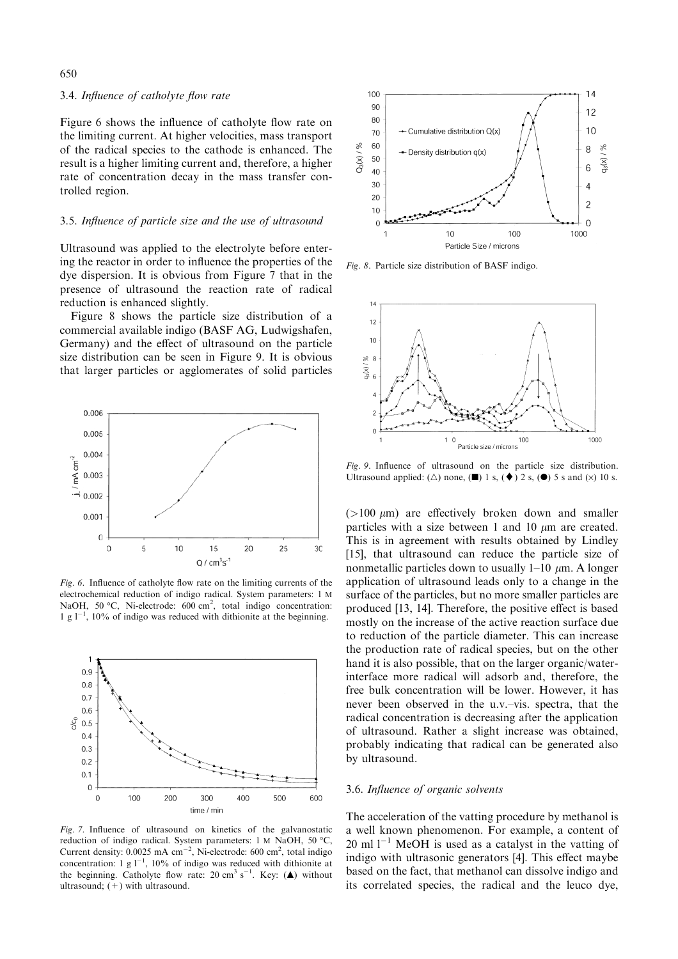#### 3.4. Influence of catholyte flow rate

Figure 6 shows the influence of catholyte flow rate on the limiting current. At higher velocities, mass transport of the radical species to the cathode is enhanced. The result is a higher limiting current and, therefore, a higher rate of concentration decay in the mass transfer controlled region.

#### 3.5. Influence of particle size and the use of ultrasound

Ultrasound was applied to the electrolyte before entering the reactor in order to influence the properties of the dye dispersion. It is obvious from Figure 7 that in the presence of ultrasound the reaction rate of radical reduction is enhanced slightly.

Figure 8 shows the particle size distribution of a commercial available indigo (BASF AG, Ludwigshafen, Germany) and the effect of ultrasound on the particle size distribution can be seen in Figure 9. It is obvious that larger particles or agglomerates of solid particles



Fig. 6. Influence of catholyte flow rate on the limiting currents of the electrochemical reduction of indigo radical. System parameters: 1 M NaOH, 50 °C, Ni-electrode: 600 cm<sup>2</sup>, total indigo concentration: 1 g  $1^{-1}$ , 10% of indigo was reduced with dithionite at the beginning.



Fig. 7. Influence of ultrasound on kinetics of the galvanostatic reduction of indigo radical. System parameters: 1 M NaOH, 50 °C, Current density:  $0.0025$  mA cm<sup>-2</sup>, Ni-electrode: 600 cm<sup>2</sup>, total indigo concentration: 1 g  $1^{-1}$ , 10% of indigo was reduced with dithionite at the beginning. Catholyte flow rate: 20 cm<sup>3</sup> s<sup>-1</sup>. Key: ( $\triangle$ ) without ultrasound;  $(+)$  with ultrasound.



Fig. 8. Particle size distribution of BASF indigo.



Fig. 9. Influence of ultrasound on the particle size distribution. Ultrasound applied: ( $\triangle$ ) none, ( $\blacksquare$ ) 1 s, ( $\blacklozenge$ ) 2 s, ( $\clubsuit$ ) 5 s and ( $\times$ ) 10 s.

 $(>100 \mu m)$  are effectively broken down and smaller particles with a size between 1 and 10  $\mu$ m are created. This is in agreement with results obtained by Lindley [15], that ultrasound can reduce the particle size of nonmetallic particles down to usually  $1-10 \mu m$ . A longer application of ultrasound leads only to a change in the surface of the particles, but no more smaller particles are produced [13, 14]. Therefore, the positive effect is based mostly on the increase of the active reaction surface due to reduction of the particle diameter. This can increase the production rate of radical species, but on the other hand it is also possible, that on the larger organic/waterinterface more radical will adsorb and, therefore, the free bulk concentration will be lower. However, it has never been observed in the u.v.–vis. spectra, that the radical concentration is decreasing after the application of ultrasound. Rather a slight increase was obtained, probably indicating that radical can be generated also by ultrasound.

### 3.6. Influence of organic solvents

The acceleration of the vatting procedure by methanol is a well known phenomenon. Forexample, a content of 20 ml  $1^{-1}$  MeOH is used as a catalyst in the vatting of indigo with ultrasonic generators [4]. This effect maybe based on the fact, that methanol can dissolve indigo and its correlated species, the radical and the leuco dye,

#### 650